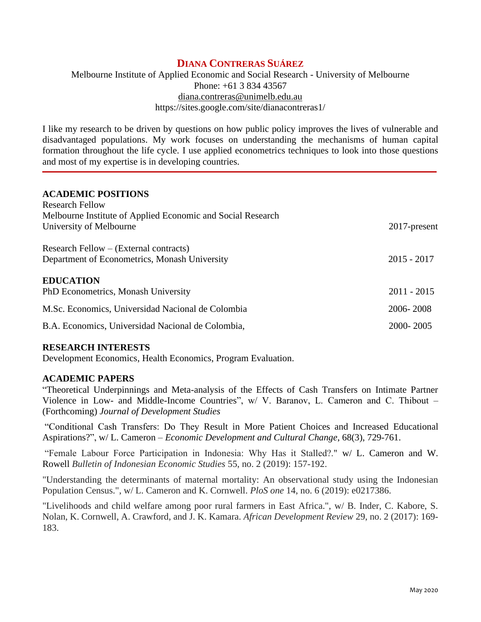# **DIANA CONTRERAS SUÁREZ**

# Melbourne Institute of Applied Economic and Social Research - University of Melbourne Phone: +61 3 834 43567 [diana.contreras@unimelb.edu.au](mailto:Diana.Contreras.Suarez@monash.edu) https://sites.google.com/site/dianacontreras1/

I like my research to be driven by questions on how public policy improves the lives of vulnerable and disadvantaged populations. My work focuses on understanding the mechanisms of human capital formation throughout the life cycle. I use applied econometrics techniques to look into those questions and most of my expertise is in developing countries.

#### **ACADEMIC POSITIONS** Research Fellow

| <u>IWOULLET LUITTE</u>                                      |               |
|-------------------------------------------------------------|---------------|
| Melbourne Institute of Applied Economic and Social Research |               |
| University of Melbourne                                     | 2017-present  |
| Research Fellow – (External contracts)                      |               |
| Department of Econometrics, Monash University               | $2015 - 2017$ |
| <b>EDUCATION</b>                                            |               |
| PhD Econometrics, Monash University                         | $2011 - 2015$ |
| M.Sc. Economics, Universidad Nacional de Colombia           | 2006-2008     |
| B.A. Economics, Universidad Nacional de Colombia,           | 2000-2005     |

#### **RESEARCH INTERESTS**

Development Economics, Health Economics, Program Evaluation.

#### **ACADEMIC PAPERS**

"Theoretical Underpinnings and Meta-analysis of the Effects of Cash Transfers on Intimate Partner Violence in Low- and Middle-Income Countries", w/ V. Baranov, L. Cameron and C. Thibout – (Forthcoming) *Journal of Development Studies*

"Conditional Cash Transfers: Do They Result in More Patient Choices and Increased Educational Aspirations?", w/ L. Cameron – *Economic Development and Cultural Change*, 68(3), 729-761.

"Female Labour Force Participation in Indonesia: Why Has it Stalled?." w/ L. Cameron and W. Rowell *Bulletin of Indonesian Economic Studies* 55, no. 2 (2019): 157-192.

"Understanding the determinants of maternal mortality: An observational study using the Indonesian Population Census.", w/ L. Cameron and K. Cornwell. *PloS one* 14, no. 6 (2019): e0217386.

"Livelihoods and child welfare among poor rural farmers in East Africa.", w/ B. Inder, C. Kabore, S. Nolan, K. Cornwell, A. Crawford, and J. K. Kamara. *African Development Review* 29, no. 2 (2017): 169- 183.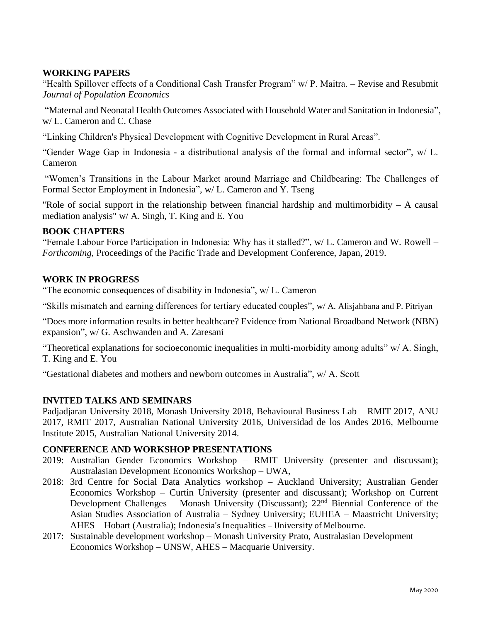# **WORKING PAPERS**

"Health Spillover effects of a Conditional Cash Transfer Program" w/ P. Maitra. – Revise and Resubmit *Journal of Population Economics*

"Maternal and Neonatal Health Outcomes Associated with Household Water and Sanitation in Indonesia", w/ L. Cameron and C. Chase

"Linking Children's Physical Development with Cognitive Development in Rural Areas".

"Gender Wage Gap in Indonesia - a distributional analysis of the formal and informal sector", w/ L. Cameron

"Women's Transitions in the Labour Market around Marriage and Childbearing: The Challenges of Formal Sector Employment in Indonesia", w/ L. Cameron and Y. Tseng

"Role of social support in the relationship between financial hardship and multimorbidity – A causal mediation analysis" w/ A. Singh, T. King and E. You

### **BOOK CHAPTERS**

"Female Labour Force Participation in Indonesia: Why has it stalled?", w/ L. Cameron and W. Rowell – *Forthcoming*, Proceedings of the Pacific Trade and Development Conference, Japan, 2019.

### **WORK IN PROGRESS**

"The economic consequences of disability in Indonesia", w/ L. Cameron

"Skills mismatch and earning differences for tertiary educated couples", w/ A. Alisjahbana and P. Pitriyan

"Does more information results in better healthcare? Evidence from National Broadband Network (NBN) expansion", w/ G. Aschwanden and A. Zaresani

"Theoretical explanations for socioeconomic inequalities in multi-morbidity among adults" w/ A. Singh, T. King and E. You

"Gestational diabetes and mothers and newborn outcomes in Australia", w/ A. Scott

# **INVITED TALKS AND SEMINARS**

Padjadjaran University 2018, Monash University 2018, Behavioural Business Lab – RMIT 2017, ANU 2017, RMIT 2017, Australian National University 2016, Universidad de los Andes 2016, Melbourne Institute 2015, Australian National University 2014.

#### **CONFERENCE AND WORKSHOP PRESENTATIONS**

- 2019: Australian Gender Economics Workshop RMIT University (presenter and discussant); Australasian Development Economics Workshop – UWA,
- 2018: 3rd Centre for Social Data Analytics workshop Auckland University; Australian Gender Economics Workshop – Curtin University (presenter and discussant); Workshop on Current Development Challenges – Monash University (Discussant);  $22<sup>nd</sup>$  Biennial Conference of the Asian Studies Association of Australia – Sydney University; EUHEA – Maastricht University; AHES – Hobart (Australia); Indonesia's Inequalities – University of Melbourne.
- 2017: Sustainable development workshop Monash University Prato, Australasian Development Economics Workshop – UNSW, AHES – Macquarie University.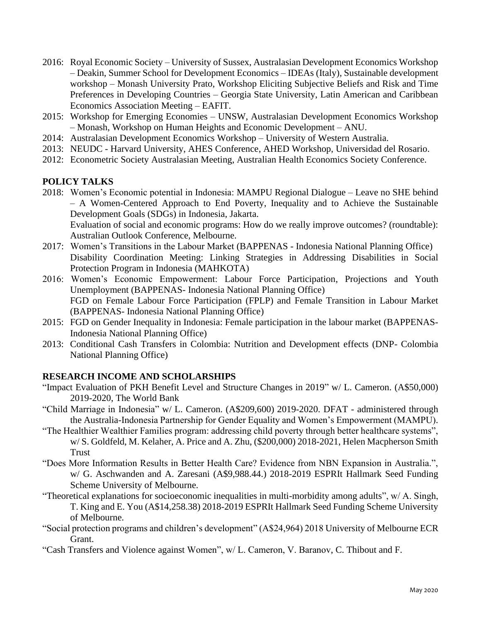- 2016: Royal Economic Society University of Sussex, Australasian Development Economics Workshop – Deakin, Summer School for Development Economics – IDEAs (Italy), Sustainable development workshop – Monash University Prato, Workshop Eliciting Subjective Beliefs and Risk and Time Preferences in Developing Countries – Georgia State University, Latin American and Caribbean Economics Association Meeting – EAFIT.
- 2015: Workshop for Emerging Economies UNSW, Australasian Development Economics Workshop – Monash, Workshop on Human Heights and Economic Development – ANU.
- 2014: Australasian Development Economics Workshop University of Western Australia.
- 2013: NEUDC Harvard University, AHES Conference, AHED Workshop, Universidad del Rosario.
- 2012: Econometric Society Australasian Meeting, Australian Health Economics Society Conference.

# **POLICY TALKS**

- 2018: Women's Economic potential in Indonesia: MAMPU Regional Dialogue Leave no SHE behind – A Women-Centered Approach to End Poverty, Inequality and to Achieve the Sustainable Development Goals (SDGs) in Indonesia, Jakarta. Evaluation of social and economic programs: How do we really improve outcomes? (roundtable): Australian Outlook Conference, Melbourne.
- 2017: Women's Transitions in the Labour Market (BAPPENAS Indonesia National Planning Office) Disability Coordination Meeting: Linking Strategies in Addressing Disabilities in Social Protection Program in Indonesia (MAHKOTA)
- 2016: Women's Economic Empowerment: Labour Force Participation, Projections and Youth Unemployment (BAPPENAS- Indonesia National Planning Office) FGD on Female Labour Force Participation (FPLP) and Female Transition in Labour Market (BAPPENAS- Indonesia National Planning Office)
- 2015: FGD on Gender Inequality in Indonesia: Female participation in the labour market (BAPPENAS-Indonesia National Planning Office)
- 2013: Conditional Cash Transfers in Colombia: Nutrition and Development effects (DNP- Colombia National Planning Office)

# **RESEARCH INCOME AND SCHOLARSHIPS**

- "Impact Evaluation of PKH Benefit Level and Structure Changes in 2019" w/ L. Cameron. (A\$50,000) 2019-2020, The World Bank
- "Child Marriage in Indonesia" w/ L. Cameron. (A\$209,600) 2019-2020. DFAT administered through the Australia-Indonesia Partnership for Gender Equality and Women's Empowerment (MAMPU).
- "The Healthier Wealthier Families program: addressing child poverty through better healthcare systems", w/ S. Goldfeld, M. Kelaher, A. Price and A. Zhu, (\$200,000) 2018-2021, Helen Macpherson Smith Trust
- "Does More Information Results in Better Health Care? Evidence from NBN Expansion in Australia.", w/ G. Aschwanden and A. Zaresani (A\$9,988.44.) 2018-2019 ESPRIt Hallmark Seed Funding Scheme University of Melbourne.
- "Theoretical explanations for socioeconomic inequalities in multi-morbidity among adults", w/ A. Singh, T. King and E. You (A\$14,258.38) 2018-2019 ESPRIt Hallmark Seed Funding Scheme University of Melbourne.
- "Social protection programs and children's development" (A\$24,964) 2018 University of Melbourne ECR Grant.
- "Cash Transfers and Violence against Women", w/ L. Cameron, V. Baranov, C. Thibout and F.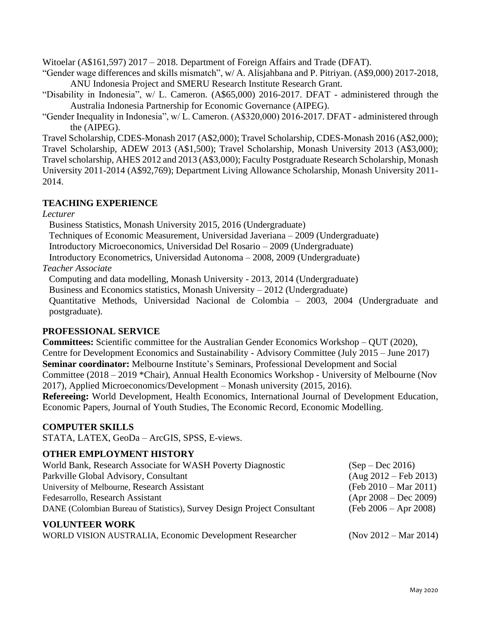Witoelar (A\$161,597) 2017 – 2018. Department of Foreign Affairs and Trade (DFAT).

"Gender wage differences and skills mismatch", w/ A. Alisjahbana and P. Pitriyan. (A\$9,000) 2017-2018, ANU Indonesia Project and SMERU Research Institute Research Grant.

"Disability in Indonesia", w/ L. Cameron. (A\$65,000) 2016-2017. DFAT - administered through the Australia Indonesia Partnership for Economic Governance (AIPEG).

"Gender Inequality in Indonesia", w/ L. Cameron. (A\$320,000) 2016-2017. DFAT - administered through the (AIPEG).

Travel Scholarship, CDES-Monash 2017 (A\$2,000); Travel Scholarship, CDES-Monash 2016 (A\$2,000); Travel Scholarship, ADEW 2013 (A\$1,500); Travel Scholarship, Monash University 2013 (A\$3,000); Travel scholarship, AHES 2012 and 2013 (A\$3,000); Faculty Postgraduate Research Scholarship, Monash University 2011-2014 (A\$92,769); Department Living Allowance Scholarship, Monash University 2011- 2014.

# **TEACHING EXPERIENCE**

### *Lecturer*

Business Statistics, Monash University 2015, 2016 (Undergraduate)

Techniques of Economic Measurement, Universidad Javeriana – 2009 (Undergraduate)

Introductory Microeconomics, Universidad Del Rosario – 2009 (Undergraduate)

Introductory Econometrics, Universidad Autonoma – 2008, 2009 (Undergraduate)

*Teacher Associate*

Computing and data modelling, Monash University - 2013, 2014 (Undergraduate)

Business and Economics statistics, Monash University – 2012 (Undergraduate)

Quantitative Methods, Universidad Nacional de Colombia – 2003, 2004 (Undergraduate and postgraduate).

# **PROFESSIONAL SERVICE**

**Committees:** Scientific committee for the Australian Gender Economics Workshop – QUT (2020), Centre for Development Economics and Sustainability - Advisory Committee (July 2015 – June 2017) **Seminar coordinator:** Melbourne Institute's Seminars, Professional Development and Social Committee (2018 – 2019 \*Chair), Annual Health Economics Workshop - University of Melbourne (Nov 2017), Applied Microeconomics/Development – Monash university (2015, 2016). **Refereeing:** World Development, Health Economics, International Journal of Development Education,

Economic Papers, Journal of Youth Studies, The Economic Record, Economic Modelling.

# **COMPUTER SKILLS**

STATA, LATEX, GeoDa – ArcGIS, SPSS, E-views.

# **OTHER EMPLOYMENT HISTORY**

| <b>VOLUNTEER WORK</b>                                                   |                         |
|-------------------------------------------------------------------------|-------------------------|
| DANE (Colombian Bureau of Statistics), Survey Design Project Consultant | $(Feb 2006 - Apr 2008)$ |
| Fedesarrollo, Research Assistant                                        | $(Apr 2008 - Dec 2009)$ |
| University of Melbourne, Research Assistant                             | $(Feb 2010 - Mar 2011)$ |
| Parkville Global Advisory, Consultant                                   | $(Aug 2012 - Feb 2013)$ |
| World Bank, Research Associate for WASH Poverty Diagnostic              | $(Sep - Dec 2016)$      |

WORLD VISION AUSTRALIA, Economic Development Researcher (Nov 2012 – Mar 2014)